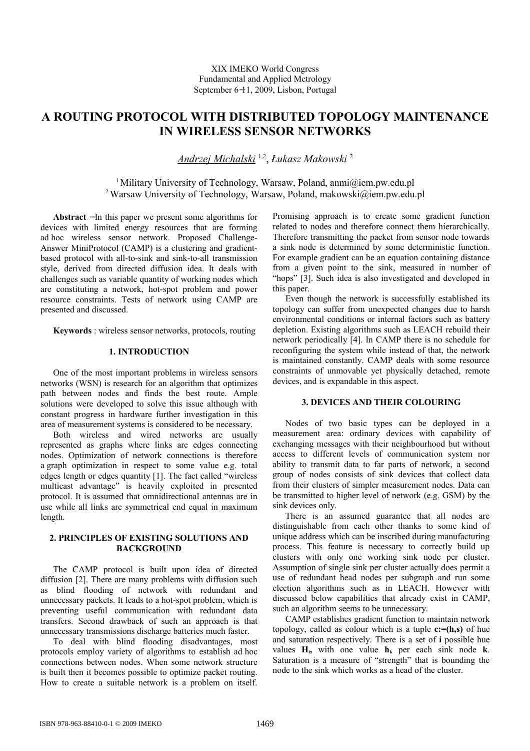# **A ROUTING PROTOCOL WITH DISTRIBUTED TOPOLOGY MAINTENANCE IN WIRELESS SENSOR NETWORKS**

*Andrzej Michalski* 1,2 , *Łukasz Makowski* <sup>2</sup>

<sup>1</sup> Military University of Technology, Warsaw, Poland, anmi $@$ iem.pw.edu.pl <sup>2</sup> Warsaw University of Technology, Warsaw, Poland, makowski@iem.pw.edu.pl

**Abstract** − In this paper we present some algorithms for devices with limited energy resources that are forming ad hoc wireless sensor network. Proposed Challenge-Answer MiniProtocol (CAMP) is a clustering and gradientbased protocol with all-to-sink and sink-to-all transmission style, derived from directed diffusion idea. It deals with challenges such as variable quantity of working nodes which are constituting a network, hot-spot problem and power resource constraints. Tests of network using CAMP are presented and discussed.

**Keywords** : wireless sensor networks, protocols, routing

# **1. INTRODUCTION**

One of the most important problems in wireless sensors networks (WSN) is research for an algorithm that optimizes path between nodes and finds the best route. Ample solutions were developed to solve this issue although with constant progress in hardware further investigation in this area of measurement systems is considered to be necessary.

Both wireless and wired networks are usually represented as graphs where links are edges connecting nodes. Optimization of network connections is therefore a graph optimization in respect to some value e.g. total edges length or edges quantity [1]. The fact called "wireless multicast advantage" is heavily exploited in presented protocol. It is assumed that omnidirectional antennas are in use while all links are symmetrical end equal in maximum length.

# **2. PRINCIPLES OF EXISTING SOLUTIONS AND BACKGROUND**

The CAMP protocol is built upon idea of directed diffusion [2]. There are many problems with diffusion such as blind flooding of network with redundant and unnecessary packets. It leads to a hot-spot problem, which is preventing useful communication with redundant data transfers. Second drawback of such an approach is that unnecessary transmissions discharge batteries much faster.

To deal with blind flooding disadvantages, most protocols employ variety of algorithms to establish ad hoc connections between nodes. When some network structure is built then it becomes possible to optimize packet routing. How to create a suitable network is a problem on itself.

Promising approach is to create some gradient function related to nodes and therefore connect them hierarchically. Therefore transmitting the packet from sensor node towards a sink node is determined by some deterministic function. For example gradient can be an equation containing distance from a given point to the sink, measured in number of "hops" [3]. Such idea is also investigated and developed in this paper.

Even though the network is successfully established its topology can suffer from unexpected changes due to harsh environmental conditions or internal factors such as battery depletion. Existing algorithms such as LEACH rebuild their network periodically [4]. In CAMP there is no schedule for reconfiguring the system while instead of that, the network is maintained constantly. CAMP deals with some resource constraints of unmovable yet physically detached, remote devices, and is expandable in this aspect.

## **3. DEVICES AND THEIR COLOURING**

Nodes of two basic types can be deployed in a measurement area: ordinary devices with capability of exchanging messages with their neighbourhood but without access to different levels of communication system nor ability to transmit data to far parts of network, a second group of nodes consists of sink devices that collect data from their clusters of simpler measurement nodes. Data can be transmitted to higher level of network (e.g. GSM) by the sink devices only.

There is an assumed guarantee that all nodes are distinguishable from each other thanks to some kind of unique address which can be inscribed during manufacturing process. This feature is necessary to correctly build up clusters with only one working sink node per cluster. Assumption of single sink per cluster actually does permit a use of redundant head nodes per subgraph and run some election algorithms such as in LEACH. However with discussed below capabilities that already exist in CAMP, such an algorithm seems to be unnecessary.

CAMP establishes gradient function to maintain network topology, called as colour which is a tuple **c:=(h,s)** of hue and saturation respectively. There is a set of **i** possible hue values  $H_i$ , with one value  $h_k$  per each sink node **k**. Saturation is a measure of "strength" that is bounding the node to the sink which works as a head of the cluster.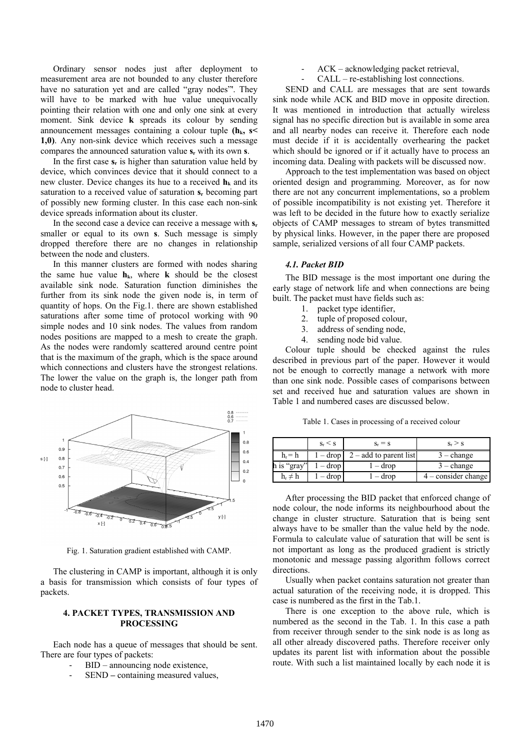Ordinary sensor nodes just after deployment to measurement area are not bounded to any cluster therefore have no saturation yet and are called "gray nodes"'. They will have to be marked with hue value unequivocally pointing their relation with one and only one sink at every moment. Sink device **k** spreads its colour by sending announcement messages containing a colour tuple **(hk, s< 1,0)**. Any non-sink device which receives such a message compares the announced saturation value **sr** with its own **s**.

In the first case **sr** is higher than saturation value held by device, which convinces device that it should connect to a new cluster. Device changes its hue to a received  $h_k$  and its saturation to a received value of saturation **sr** becoming part of possibly new forming cluster. In this case each non-sink device spreads information about its cluster.

In the second case a device can receive a message with **s<sup>r</sup>** smaller or equal to its own **s**. Such message is simply dropped therefore there are no changes in relationship between the node and clusters.

In this manner clusters are formed with nodes sharing the same hue value  $h_k$ , where **k** should be the closest available sink node. Saturation function diminishes the further from its sink node the given node is, in term of quantity of hops. On the Fig.1. there are shown established saturations after some time of protocol working with 90 simple nodes and 10 sink nodes. The values from random nodes positions are mapped to a mesh to create the graph. As the nodes were randomly scattered around centre point that is the maximum of the graph, which is the space around which connections and clusters have the strongest relations. The lower the value on the graph is, the longer path from node to cluster head.



Fig. 1. Saturation gradient established with CAMP.

The clustering in CAMP is important, although it is only a basis for transmission which consists of four types of packets.

## **4. PACKET TYPES, TRANSMISSION AND PROCESSING**

Each node has a queue of messages that should be sent. There are four types of packets:

- BID announcing node existence,
- SEND containing measured values,
- ACK acknowledging packet retrieval,
- CALL re-establishing lost connections.

SEND and CALL are messages that are sent towards sink node while ACK and BID move in opposite direction. It was mentioned in introduction that actually wireless signal has no specific direction but is available in some area and all nearby nodes can receive it. Therefore each node must decide if it is accidentally overhearing the packet which should be ignored or if it actually have to process an incoming data. Dealing with packets will be discussed now.

Approach to the test implementation was based on object oriented design and programming. Moreover, as for now there are not any concurrent implementations, so a problem of possible incompatibility is not existing yet. Therefore it was left to be decided in the future how to exactly serialize objects of CAMP messages to stream of bytes transmitted by physical links. However, in the paper there are proposed sample, serialized versions of all four CAMP packets.

### *4.1. Packet BID*

The BID message is the most important one during the early stage of network life and when connections are being built. The packet must have fields such as:

- 1. packet type identifier,
	- 2. tuple of proposed colour,
	- 3. address of sending node,
	- 4. sending node bid value.

Colour tuple should be checked against the rules described in previous part of the paper. However it would not be enough to correctly manage a network with more than one sink node. Possible cases of comparisons between set and received hue and saturation values are shown in Table 1 and numbered cases are discussed below.

Table 1. Cases in processing of a received colour

|              | $S_r \leq S$      | $S_r = S$                                  | $S_r \geq S$        |
|--------------|-------------------|--------------------------------------------|---------------------|
| $h_r = h$    |                   | $1 - \text{drop}$   2 – add to parent list | $3$ – change        |
| h is "gray"  | $1 - \text{drop}$ | $-$ drop                                   | $3$ – change        |
| $h_r \neq h$ | $-$ drop          | $-$ drop                                   | 4 – consider change |

After processing the BID packet that enforced change of node colour, the node informs its neighbourhood about the change in cluster structure. Saturation that is being sent always have to be smaller than the value held by the node. Formula to calculate value of saturation that will be sent is not important as long as the produced gradient is strictly monotonic and message passing algorithm follows correct directions.

Usually when packet contains saturation not greater than actual saturation of the receiving node, it is dropped. This case is numbered as the first in the Tab.1.

There is one exception to the above rule, which is numbered as the second in the Tab. 1. In this case a path from receiver through sender to the sink node is as long as all other already discovered paths. Therefore receiver only updates its parent list with information about the possible route. With such a list maintained locally by each node it is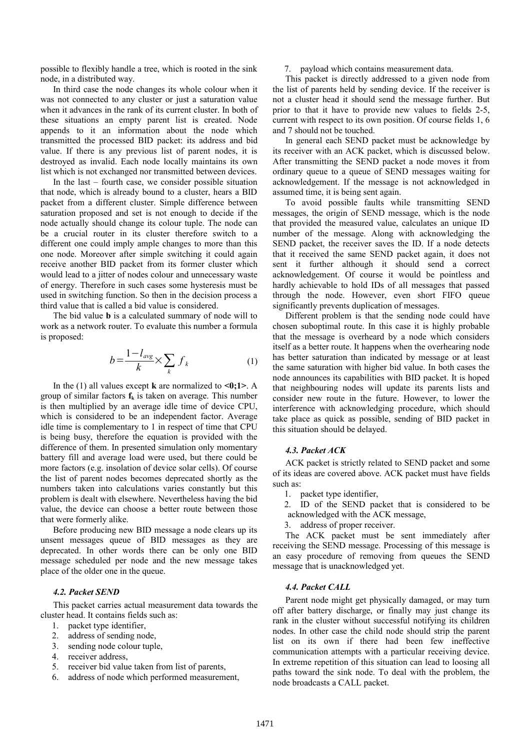possible to flexibly handle a tree, which is rooted in the sink node, in a distributed way.

In third case the node changes its whole colour when it was not connected to any cluster or just a saturation value when it advances in the rank of its current cluster. In both of these situations an empty parent list is created. Node appends to it an information about the node which transmitted the processed BID packet: its address and bid value. If there is any previous list of parent nodes, it is destroyed as invalid. Each node locally maintains its own list which is not exchanged nor transmitted between devices.

In the last – fourth case, we consider possible situation that node, which is already bound to a cluster, hears a BID packet from a different cluster. Simple difference between saturation proposed and set is not enough to decide if the node actually should change its colour tuple. The node can be a crucial router in its cluster therefore switch to a different one could imply ample changes to more than this one node. Moreover after simple switching it could again receive another BID packet from its former cluster which would lead to a jitter of nodes colour and unnecessary waste of energy. Therefore in such cases some hysteresis must be used in switching function. So then in the decision process a third value that is called a bid value is considered.

The bid value **b** is a calculated summary of node will to work as a network router. To evaluate this number a formula is proposed:

$$
b = \frac{1 - l_{avg}}{k} \times \sum_{k} f_{k}
$$
 (1)

In the (1) all values except **k** are normalized to **<0;1>**. A group of similar factors **fk** is taken on average. This number is then multiplied by an average idle time of device CPU, which is considered to be an independent factor. Average idle time is complementary to 1 in respect of time that CPU is being busy, therefore the equation is provided with the difference of them. In presented simulation only momentary battery fill and average load were used, but there could be more factors (e.g. insolation of device solar cells). Of course the list of parent nodes becomes deprecated shortly as the numbers taken into calculations varies constantly but this problem is dealt with elsewhere. Nevertheless having the bid value, the device can choose a better route between those that were formerly alike.

Before producing new BID message a node clears up its unsent messages queue of BID messages as they are deprecated. In other words there can be only one BID message scheduled per node and the new message takes place of the older one in the queue.

## *4.2. Packet SEND*

This packet carries actual measurement data towards the cluster head. It contains fields such as:

- 1. packet type identifier,
- 2. address of sending node,
- 3. sending node colour tuple,
- 4. receiver address,
- 5. receiver bid value taken from list of parents,
- 6. address of node which performed measurement,

#### 7. payload which contains measurement data.

This packet is directly addressed to a given node from the list of parents held by sending device. If the receiver is not a cluster head it should send the message further. But prior to that it have to provide new values to fields 2-5, current with respect to its own position. Of course fields 1, 6 and 7 should not be touched.

In general each SEND packet must be acknowledge by its receiver with an ACK packet, which is discussed below. After transmitting the SEND packet a node moves it from ordinary queue to a queue of SEND messages waiting for acknowledgement. If the message is not acknowledged in assumed time, it is being sent again.

To avoid possible faults while transmitting SEND messages, the origin of SEND message, which is the node that provided the measured value, calculates an unique ID number of the message. Along with acknowledging the SEND packet, the receiver saves the ID. If a node detects that it received the same SEND packet again, it does not sent it further although it should send a correct acknowledgement. Of course it would be pointless and hardly achievable to hold IDs of all messages that passed through the node. However, even short FIFO queue significantly prevents duplication of messages.

Different problem is that the sending node could have chosen suboptimal route. In this case it is highly probable that the message is overheard by a node which considers itself as a better route. It happens when the overhearing node has better saturation than indicated by message or at least the same saturation with higher bid value. In both cases the node announces its capabilities with BID packet. It is hoped that neighbouring nodes will update its parents lists and consider new route in the future. However, to lower the interference with acknowledging procedure, which should take place as quick as possible, sending of BID packet in this situation should be delayed.

## *4.3. Packet ACK*

ACK packet is strictly related to SEND packet and some of its ideas are covered above. ACK packet must have fields such as:

- 1. packet type identifier,
- 2. ID of the SEND packet that is considered to be acknowledged with the ACK message,
- 3. address of proper receiver.

The ACK packet must be sent immediately after receiving the SEND message. Processing of this message is an easy procedure of removing from queues the SEND message that is unacknowledged yet.

#### *4.4. Packet CALL*

Parent node might get physically damaged, or may turn off after battery discharge, or finally may just change its rank in the cluster without successful notifying its children nodes. In other case the child node should strip the parent list on its own if there had been few ineffective communication attempts with a particular receiving device. In extreme repetition of this situation can lead to loosing all paths toward the sink node. To deal with the problem, the node broadcasts a CALL packet.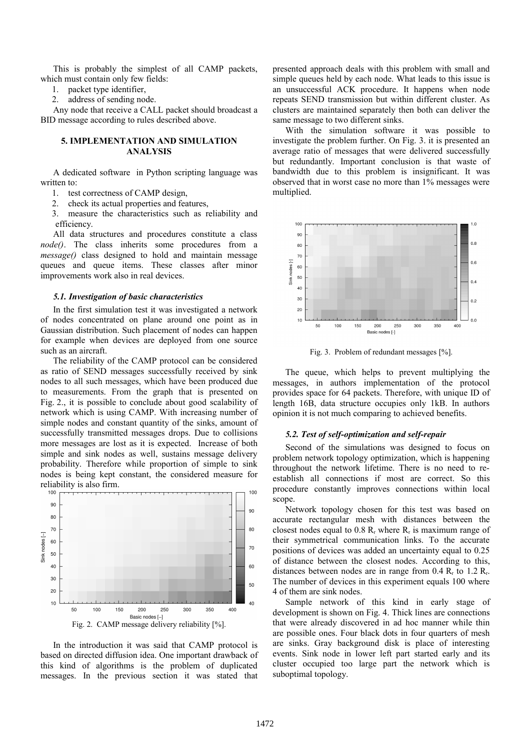This is probably the simplest of all CAMP packets, which must contain only few fields:

1. packet type identifier,

2. address of sending node.

Any node that receive a CALL packet should broadcast a BID message according to rules described above.

# **5. IMPLEMENTATION AND SIMULATION ANALYSIS**

A dedicated software in Python scripting language was written to:

- 1. test correctness of CAMP design,
- 2. check its actual properties and features,
- 3. measure the characteristics such as reliability and efficiency.

All data structures and procedures constitute a class *node()*. The class inherits some procedures from a *message()* class designed to hold and maintain message queues and queue items. These classes after minor improvements work also in real devices.

## *5.1. Investigation of basic characteristics*

In the first simulation test it was investigated a network of nodes concentrated on plane around one point as in Gaussian distribution. Such placement of nodes can happen for example when devices are deployed from one source such as an aircraft.

The reliability of the CAMP protocol can be considered as ratio of SEND messages successfully received by sink nodes to all such messages, which have been produced due to measurements. From the graph that is presented on Fig. 2., it is possible to conclude about good scalability of network which is using CAMP. With increasing number of simple nodes and constant quantity of the sinks, amount of successfully transmitted messages drops. Due to collisions more messages are lost as it is expected. Increase of both simple and sink nodes as well, sustains message delivery probability. Therefore while proportion of simple to sink nodes is being kept constant, the considered measure for reliability is also firm.



In the introduction it was said that CAMP protocol is based on directed diffusion idea. One important drawback of this kind of algorithms is the problem of duplicated messages. In the previous section it was stated that

presented approach deals with this problem with small and simple queues held by each node. What leads to this issue is an unsuccessful ACK procedure. It happens when node repeats SEND transmission but within different cluster. As clusters are maintained separately then both can deliver the same message to two different sinks.

With the simulation software it was possible to investigate the problem further. On Fig. 3. it is presented an average ratio of messages that were delivered successfully but redundantly. Important conclusion is that waste of bandwidth due to this problem is insignificant. It was observed that in worst case no more than 1% messages were multiplied.



Fig. 3. Problem of redundant messages [%].

The queue, which helps to prevent multiplying the messages, in authors implementation of the protocol provides space for 64 packets. Therefore, with unique ID of length 16B, data structure occupies only 1kB. In authors opinion it is not much comparing to achieved benefits.

#### *5.2. Test of self-optimization and self-repair*

Second of the simulations was designed to focus on problem network topology optimization, which is happening throughout the network lifetime. There is no need to reestablish all connections if most are correct. So this procedure constantly improves connections within local scope.

Network topology chosen for this test was based on accurate rectangular mesh with distances between the closest nodes equal to  $0.8 \, R_r$  where  $R_r$  is maximum range of their symmetrical communication links. To the accurate positions of devices was added an uncertainty equal to 0.25 of distance between the closest nodes. According to this, distances between nodes are in range from  $0.4 \text{ R}_{r}$  to  $1.2 \text{ R}_{r}$ . The number of devices in this experiment equals 100 where 4 of them are sink nodes.

Sample network of this kind in early stage of development is shown on Fig. 4. Thick lines are connections that were already discovered in ad hoc manner while thin are possible ones. Four black dots in four quarters of mesh are sinks. Gray background disk is place of interesting events. Sink node in lower left part started early and its cluster occupied too large part the network which is suboptimal topology.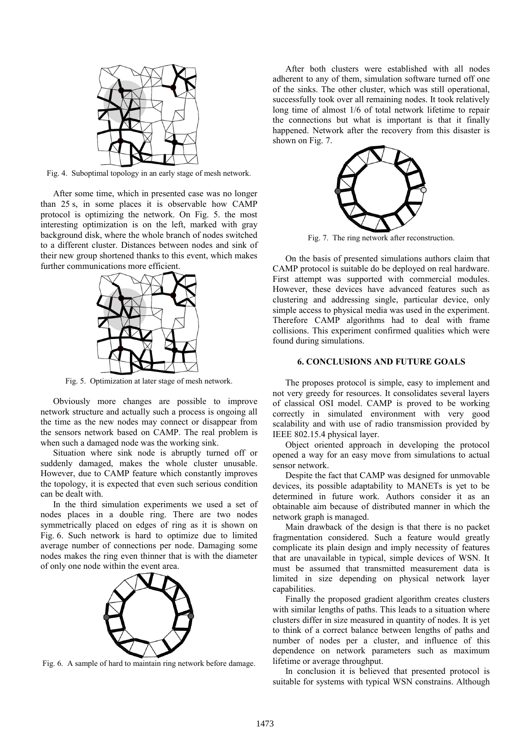

Fig. 4. Suboptimal topology in an early stage of mesh network.

After some time, which in presented case was no longer than 25 s, in some places it is observable how CAMP protocol is optimizing the network. On Fig. 5. the most interesting optimization is on the left, marked with gray background disk, where the whole branch of nodes switched to a different cluster. Distances between nodes and sink of their new group shortened thanks to this event, which makes further communications more efficient.



Fig. 5. Optimization at later stage of mesh network.

Obviously more changes are possible to improve network structure and actually such a process is ongoing all the time as the new nodes may connect or disappear from the sensors network based on CAMP. The real problem is when such a damaged node was the working sink.

Situation where sink node is abruptly turned off or suddenly damaged, makes the whole cluster unusable. However, due to CAMP feature which constantly improves the topology, it is expected that even such serious condition can be dealt with.

In the third simulation experiments we used a set of nodes places in a double ring. There are two nodes symmetrically placed on edges of ring as it is shown on Fig. 6. Such network is hard to optimize due to limited average number of connections per node. Damaging some nodes makes the ring even thinner that is with the diameter of only one node within the event area.



Fig. 6. A sample of hard to maintain ring network before damage.

After both clusters were established with all nodes adherent to any of them, simulation software turned off one of the sinks. The other cluster, which was still operational, successfully took over all remaining nodes. It took relatively long time of almost 1/6 of total network lifetime to repair the connections but what is important is that it finally happened. Network after the recovery from this disaster is shown on Fig. 7.



Fig. 7. The ring network after reconstruction.

On the basis of presented simulations authors claim that CAMP protocol is suitable do be deployed on real hardware. First attempt was supported with commercial modules. However, these devices have advanced features such as clustering and addressing single, particular device, only simple access to physical media was used in the experiment. Therefore CAMP algorithms had to deal with frame collisions. This experiment confirmed qualities which were found during simulations.

#### **6. CONCLUSIONS AND FUTURE GOALS**

The proposes protocol is simple, easy to implement and not very greedy for resources. It consolidates several layers of classical OSI model. CAMP is proved to be working correctly in simulated environment with very good scalability and with use of radio transmission provided by IEEE 802.15.4 physical layer.

Object oriented approach in developing the protocol opened a way for an easy move from simulations to actual sensor network.

Despite the fact that CAMP was designed for unmovable devices, its possible adaptability to MANETs is yet to be determined in future work. Authors consider it as an obtainable aim because of distributed manner in which the network graph is managed.

Main drawback of the design is that there is no packet fragmentation considered. Such a feature would greatly complicate its plain design and imply necessity of features that are unavailable in typical, simple devices of WSN. It must be assumed that transmitted measurement data is limited in size depending on physical network layer capabilities.

Finally the proposed gradient algorithm creates clusters with similar lengths of paths. This leads to a situation where clusters differ in size measured in quantity of nodes. It is yet to think of a correct balance between lengths of paths and number of nodes per a cluster, and influence of this dependence on network parameters such as maximum lifetime or average throughput.

In conclusion it is believed that presented protocol is suitable for systems with typical WSN constrains. Although